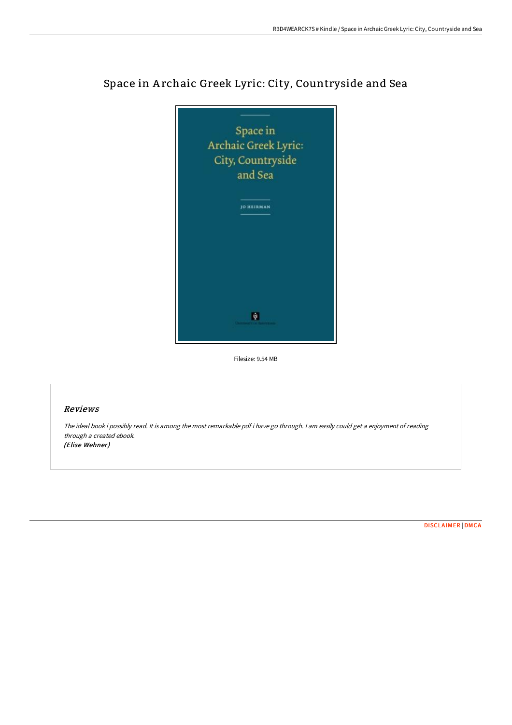

# Space in A rchaic Greek Lyric: City, Countryside and Sea

Filesize: 9.54 MB

## Reviews

The ideal book i possibly read. It is among the most remarkable pdf i have go through. <sup>I</sup> am easily could get <sup>a</sup> enjoyment of reading through <sup>a</sup> created ebook. (Elise Wehner)

[DISCLAIMER](http://digilib.live/disclaimer.html) | [DMCA](http://digilib.live/dmca.html)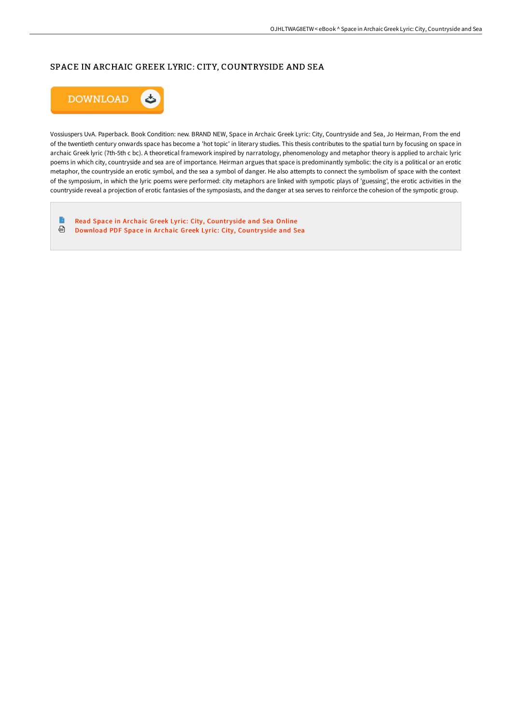# SPACE IN ARCHAIC GREEK LYRIC: CITY, COUNTRYSIDE AND SEA



Vossiuspers UvA. Paperback. Book Condition: new. BRAND NEW, Space in Archaic Greek Lyric: City, Countryside and Sea, Jo Heirman, From the end of the twentieth century onwards space has become a 'hot topic' in literary studies. This thesis contributes to the spatial turn by focusing on space in archaic Greek lyric (7th-5th c bc). A theoretical framework inspired by narratology, phenomenology and metaphor theory is applied to archaic lyric poems in which city, countryside and sea are of importance. Heirman argues that space is predominantly symbolic: the city is a political or an erotic metaphor, the countryside an erotic symbol, and the sea a symbol of danger. He also attempts to connect the symbolism of space with the context of the symposium, in which the lyric poems were performed: city metaphors are linked with sympotic plays of 'guessing', the erotic activities in the countryside reveal a projection of erotic fantasies of the symposiasts, and the danger at sea serves to reinforce the cohesion of the sympotic group.

B Read Space in Archaic Greek Lyric: City, [Countr](http://digilib.live/space-in-archaic-greek-lyric-city-countryside-an.html)yside and Sea Online <sup>n</sup> [Download](http://digilib.live/space-in-archaic-greek-lyric-city-countryside-an.html) PDF Space in Archaic Greek Lyric: City, Countryside and Sea